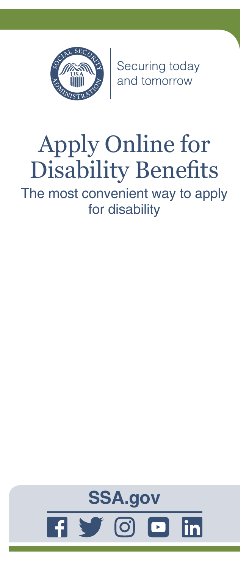

Securing today<br>and tomorrow

# Apply Online for Disability Benefits

The most convenient way to apply for disability

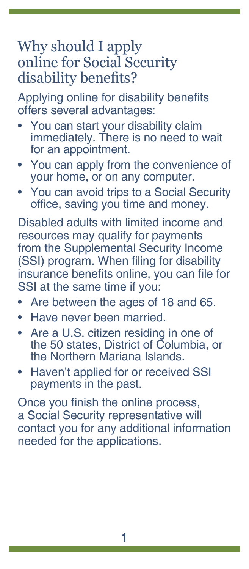#### Why should I apply online for Social Security disability benefits?

Applying online for disability benefits offers several advantages:

- You can start your disability claim immediately. There is no need to wait for an appointment.
- You can apply from the convenience of your home, or on any computer.
- You can avoid trips to a Social Security office, saving you time and money.

Disabled adults with limited income and resources may qualify for payments from the Supplemental Security Income (SSI) program. When filing for disability insurance benefits online, you can file for SSI at the same time if you:

- Are between the ages of 18 and 65.
- Have never been married.
- Are a U.S. citizen residing in one of the 50 states, District of Columbia, or the Northern Mariana Islands.
- Haven't applied for or received SSI payments in the past.

Once you finish the online process, a Social Security representative will contact you for any additional information needed for the applications.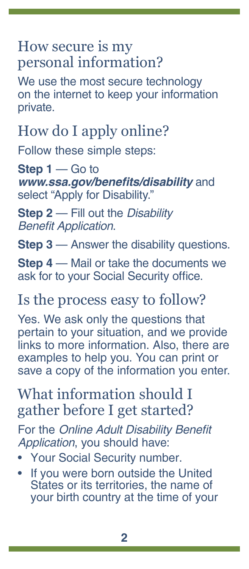#### How secure is my personal information?

We use the most secure technology on the internet to keep your information private.

# How do I apply online?

Follow these simple steps:

**Step 1** — Go to **[www.ssa.gov/benefits/disability](https://www.ssa.gov/benefits/disability)** and select "Apply for Disability."

**Step 2** — Fill out the *Disability*  Benefit Application.

**Step 3** — Answer the disability questions.

**Step 4** — Mail or take the documents we ask for to your Social Security office.

### Is the process easy to follow?

Yes. We ask only the questions that pertain to your situation, and we provide links to more information. Also, there are examples to help you. You can print or save a copy of the information you enter.

### What information should I gather before I get started?

For the [Online Adult Disability Benefit](https://secure.ssa.gov/iClaim/dib)  [Application](https://secure.ssa.gov/iClaim/dib), you should have:

- Your Social Security number.
- If you were born outside the United States or its territories, the name of your birth country at the time of your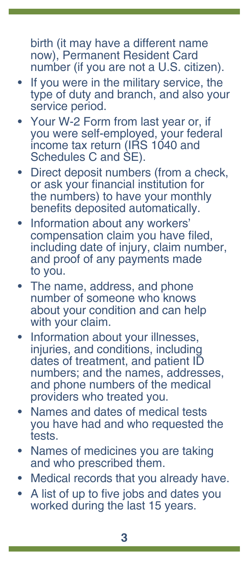birth (it may have a different name now), Permanent Resident Card number (if you are not a U.S. citizen).

- If you were in the military service, the type of duty and branch, and also your service period.
- Your W-2 Form from last year or, if you were self-employed, your federal income tax return (IRS 1040 and Schedules C and SE).
- Direct deposit numbers (from a check, or ask your financial institution for the numbers) to have your monthly benefits deposited automatically.
- Information about any workers' compensation claim you have filed, including date of injury, claim number, and proof of any payments made to you.
- The name, address, and phone number of someone who knows about your condition and can help with your claim.
- Information about your illnesses, injuries, and conditions, including dates of treatment, and patient ID numbers; and the names, addresses, and phone numbers of the medical providers who treated you.
- Names and dates of medical tests you have had and who requested the tests.
- Names of medicines you are taking and who prescribed them.
- Medical records that you already have.
- A list of up to five jobs and dates you worked during the last 15 years.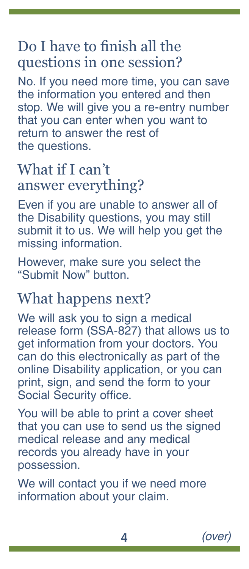#### Do I have to finish all the questions in one session?

No. If you need more time, you can save the information you entered and then stop. We will give you a re-entry number that you can enter when you want to return to answer the rest of the questions.

#### What if I can't answer everything?

Even if you are unable to answer all of the Disability questions, you may still submit it to us. We will help you get the missing information.

However, make sure you select the "Submit Now" button.

#### What happens next?

We will ask you to sign a medical release form (SSA-827) that allows us to get information from your doctors. You can do this electronically as part of the online Disability application, or you can print, sign, and send the form to your Social Security office.

You will be able to print a cover sheet that you can use to send us the signed medical release and any medical records you already have in your possession.

We will contact you if we need more information about your claim.

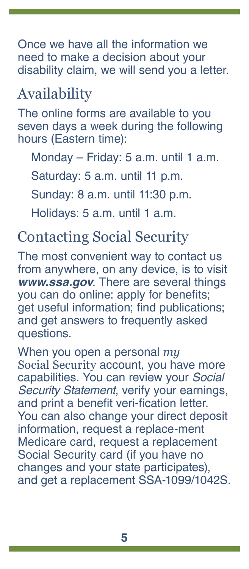Once we have all the information we need to make a decision about your disability claim, we will send you a letter.

## Availability

The online forms are available to you seven days a week during the following hours (Eastern time):

Monday – Friday: 5 a.m. until 1 a.m.

Saturday: 5 a.m. until 11 p.m.

Sunday: 8 a.m. until 11:30 p.m.

Holidays: 5 a.m. until 1 a.m.

### Contacting Social Security

The most convenient way to contact us from anywhere, on any device, is to visit *[www.ssa.gov](https://www.ssa.gov)*. There are several things you can do online: apply for benefits; get useful information; find [publications](https://www.ssa.gov/pubs/); and get answers to [frequently asked](https://faq.ssa.gov/)  [questions](https://faq.ssa.gov/).

When you open a personal *my* Social Security account, you have more capabilities. You can review your Social Security Statement, verify your earnings, and print a benefit veri-fication letter. You can also change your direct deposit information, request a replace-ment Medicare card, request a replacement Social Security card (if you have no changes and your state participates), and get a replacement SSA-1099/1042S.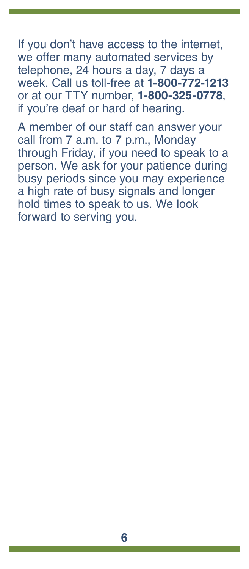If you don't have access to the internet, we offer many automated services by telephone, 24 hours a day, 7 days a week. Call us toll-free at **1-800-772-1213** or at our TTY number, **1-800-325-0778**, if you're deaf or hard of hearing.

A member of our staff can answer your call from 7 a.m. to 7 p.m., Monday through Friday, if you need to speak to a person. We ask for your patience during busy periods since you may experience a high rate of busy signals and longer hold times to speak to us. We look forward to serving you.